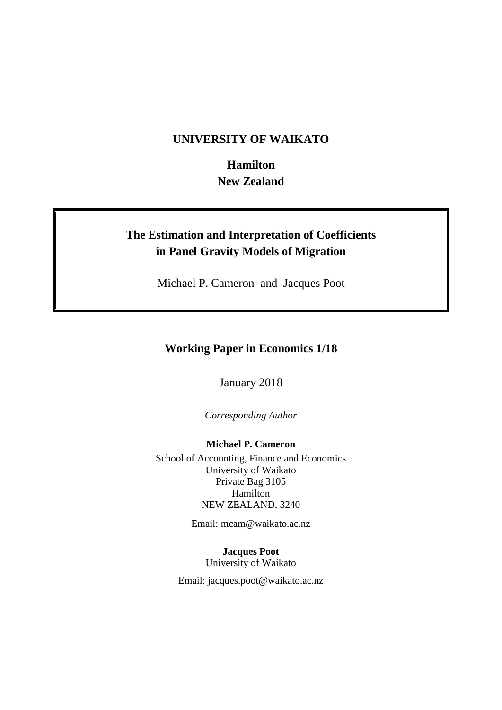## **UNIVERSITY OF WAIKATO**

**Hamilton New Zealand**

# **The Estimation and Interpretation of Coefficients in Panel Gravity Models of Migration**

Michael P. Cameron and Jacques Poot

## **Working Paper in Economics 1/18**

January 2018

*Corresponding Author*

**Michael P. Cameron** School of Accounting, Finance and Economics University of Waikato Private Bag 3105 Hamilton NEW ZEALAND, 3240

Email: mcam@waikato.ac.nz

**Jacques Poot** University of Waikato

Email: jacques.poot@waikato.ac.nz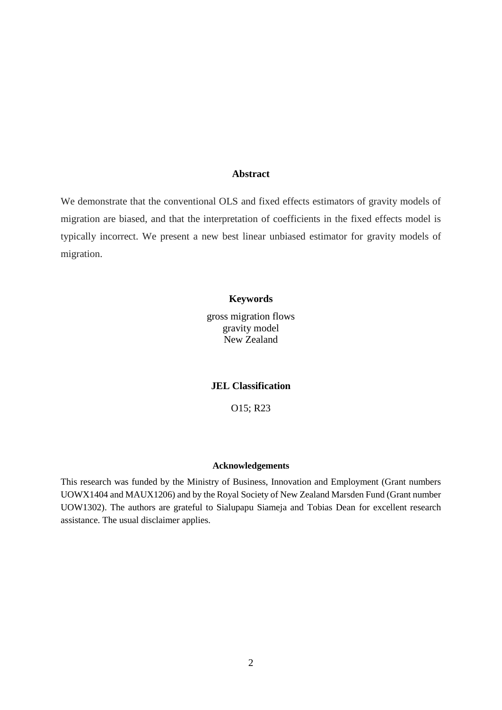### **Abstract**

We demonstrate that the conventional OLS and fixed effects estimators of gravity models of migration are biased, and that the interpretation of coefficients in the fixed effects model is typically incorrect. We present a new best linear unbiased estimator for gravity models of migration.

#### **Keywords**

gross migration flows gravity model New Zealand

**JEL Classification**

O15; R23

#### **Acknowledgements**

This research was funded by the Ministry of Business, Innovation and Employment (Grant numbers UOWX1404 and MAUX1206) and by the Royal Society of New Zealand Marsden Fund (Grant number UOW1302). The authors are grateful to Sialupapu Siameja and Tobias Dean for excellent research assistance. The usual disclaimer applies.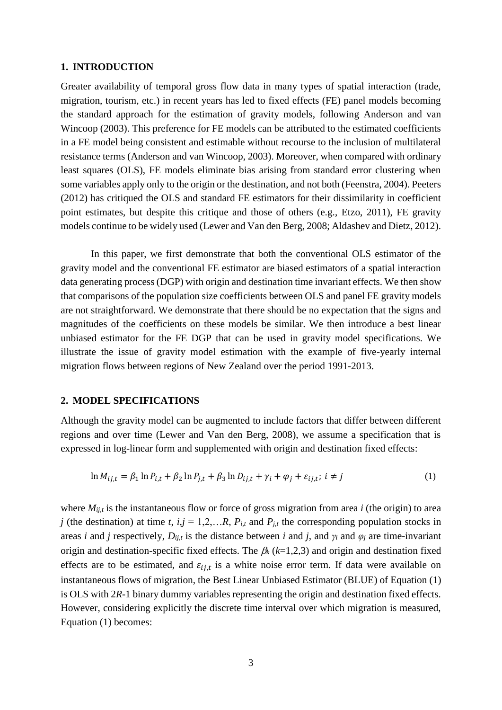#### **1. INTRODUCTION**

Greater availability of temporal gross flow data in many types of spatial interaction (trade, migration, tourism, etc.) in recent years has led to fixed effects (FE) panel models becoming the standard approach for the estimation of gravity models, following Anderson and van Wincoop (2003). This preference for FE models can be attributed to the estimated coefficients in a FE model being consistent and estimable without recourse to the inclusion of multilateral resistance terms (Anderson and van Wincoop, 2003). Moreover, when compared with ordinary least squares (OLS), FE models eliminate bias arising from standard error clustering when some variables apply only to the origin or the destination, and not both (Feenstra, 2004). Peeters (2012) has critiqued the OLS and standard FE estimators for their dissimilarity in coefficient point estimates, but despite this critique and those of others (e.g., Etzo, 2011), FE gravity models continue to be widely used (Lewer and Van den Berg, 2008; Aldashev and Dietz, 2012).

In this paper, we first demonstrate that both the conventional OLS estimator of the gravity model and the conventional FE estimator are biased estimators of a spatial interaction data generating process (DGP) with origin and destination time invariant effects. We then show that comparisons of the population size coefficients between OLS and panel FE gravity models are not straightforward. We demonstrate that there should be no expectation that the signs and magnitudes of the coefficients on these models be similar. We then introduce a best linear unbiased estimator for the FE DGP that can be used in gravity model specifications. We illustrate the issue of gravity model estimation with the example of five-yearly internal migration flows between regions of New Zealand over the period 1991-2013.

#### **2. MODEL SPECIFICATIONS**

Although the gravity model can be augmented to include factors that differ between different regions and over time (Lewer and Van den Berg, 2008), we assume a specification that is expressed in log-linear form and supplemented with origin and destination fixed effects:

$$
\ln M_{ij,t} = \beta_1 \ln P_{i,t} + \beta_2 \ln P_{j,t} + \beta_3 \ln D_{ij,t} + \gamma_i + \varphi_j + \varepsilon_{ij,t}; i \neq j
$$
\n(1)

where  $M_{ij,t}$  is the instantaneous flow or force of gross migration from area *i* (the origin) to area *j* (the destination) at time *t*,  $i, j = 1, 2, \ldots R$ ,  $P_{i,t}$  and  $P_{j,t}$  the corresponding population stocks in areas *i* and *j* respectively,  $D_{ij,t}$  is the distance between *i* and *j*, and  $\gamma_i$  and  $\varphi_j$  are time-invariant origin and destination-specific fixed effects. The  $\beta_k$  ( $k=1,2,3$ ) and origin and destination fixed effects are to be estimated, and  $\varepsilon_{i,j,t}$  is a white noise error term. If data were available on instantaneous flows of migration, the Best Linear Unbiased Estimator (BLUE) of Equation (1) is OLS with 2*R*-1 binary dummy variables representing the origin and destination fixed effects. However, considering explicitly the discrete time interval over which migration is measured, Equation (1) becomes: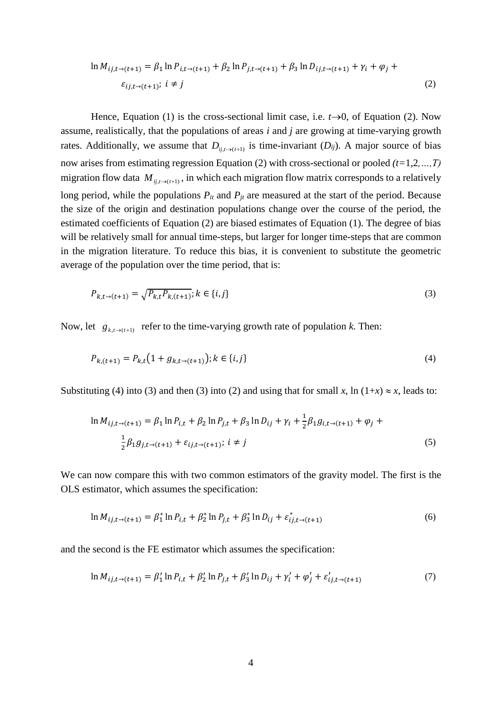$$
\ln M_{ij,t\to(t+1)} = \beta_1 \ln P_{i,t\to(t+1)} + \beta_2 \ln P_{j,t\to(t+1)} + \beta_3 \ln D_{ij,t\to(t+1)} + \gamma_i + \varphi_j + \varepsilon_{ij,t\to(t+1)}; i \neq j
$$
\n(2)

Hence, Equation (1) is the cross-sectional limit case, i.e.  $t\rightarrow 0$ , of Equation (2). Now assume, realistically, that the populations of areas *i* and *j* are growing at time-varying growth rates. Additionally, we assume that  $D_{ij,t\to(t+1)}$  is time-invariant  $(D_{ij})$ . A major source of bias now arises from estimating regression Equation (2) with cross-sectional or pooled *(t=*1,2*,…,T)*  migration flow data  $M_{ij,t\to(t+1)}$ , in which each migration flow matrix corresponds to a relatively long period, while the populations  $P_{it}$  and  $P_{jt}$  are measured at the start of the period. Because the size of the origin and destination populations change over the course of the period, the estimated coefficients of Equation (2) are biased estimates of Equation (1). The degree of bias will be relatively small for annual time-steps, but larger for longer time-steps that are common in the migration literature. To reduce this bias, it is convenient to substitute the geometric average of the population over the time period, that is:

$$
P_{k,t\to(t+1)} = \sqrt{P_{k,t}P_{k,(t+1)}}; k \in \{i,j\}
$$
\n(3)

Now, let  $g_{k,t\to(t+1)}$  refer to the time-varying growth rate of population *k*. Then:

$$
P_{k,(t+1)} = P_{k,t}(1 + g_{k,t \to (t+1)}); k \in \{i,j\}
$$
\n<sup>(4)</sup>

Substituting (4) into (3) and then (3) into (2) and using that for small *x*, ln (1+*x*)  $\approx$  *x*, leads to:

$$
\ln M_{ij,t\to(t+1)} = \beta_1 \ln P_{i,t} + \beta_2 \ln P_{j,t} + \beta_3 \ln D_{ij} + \gamma_i + \frac{1}{2} \beta_1 g_{i,t\to(t+1)} + \varphi_j + \frac{1}{2} \beta_1 g_{j,t\to(t+1)} + \varepsilon_{ij,t\to(t+1)}; i \neq j
$$
\n(5)

We can now compare this with two common estimators of the gravity model. The first is the OLS estimator, which assumes the specification:

$$
\ln M_{ij,t\to(t+1)} = \beta_1^* \ln P_{i,t} + \beta_2^* \ln P_{j,t} + \beta_3^* \ln D_{ij} + \varepsilon_{ij,t\to(t+1)}^* \tag{6}
$$

and the second is the FE estimator which assumes the specification:

$$
\ln M_{ij,t\to(t+1)} = \beta'_1 \ln P_{i,t} + \beta'_2 \ln P_{j,t} + \beta'_3 \ln D_{ij} + \gamma'_i + \varphi'_j + \varepsilon'_{ij,t\to(t+1)}
$$
(7)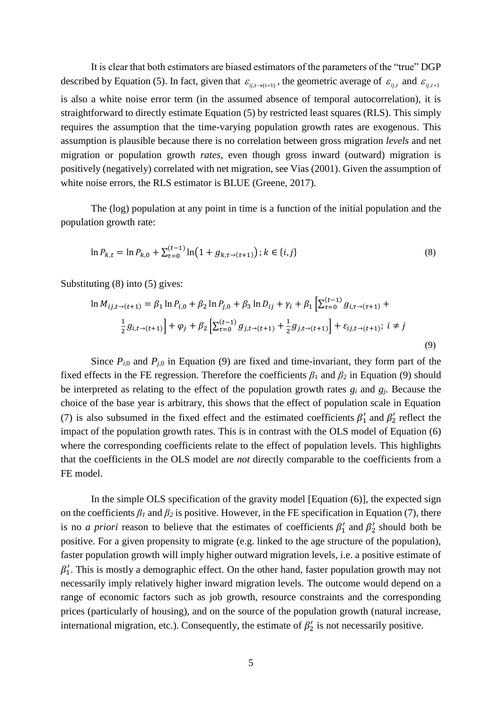It is clear that both estimators are biased estimators of the parameters of the "true" DGP described by Equation (5). In fact, given that  $\varepsilon_{ij,t\to(t+1)}$ , the geometric average of  $\varepsilon_{ij,t}$  and  $\varepsilon_{ij,t+1}$ is also a white noise error term (in the assumed absence of temporal autocorrelation), it is straightforward to directly estimate Equation (5) by restricted least squares (RLS). This simply requires the assumption that the time-varying population growth rates are exogenous. This assumption is plausible because there is no correlation between gross migration *levels* and net migration or population growth *rates*, even though gross inward (outward) migration is positively (negatively) correlated with net migration, see Vias (2001). Given the assumption of white noise errors, the RLS estimator is BLUE (Greene, 2017).

The (log) population at any point in time is a function of the initial population and the population growth rate:

$$
\ln P_{k,t} = \ln P_{k,0} + \sum_{\tau=0}^{(t-1)} \ln \left( 1 + g_{k,\tau \to (\tau+1)} \right); k \in \{i,j\}
$$
\n(8)

Substituting (8) into (5) gives:

$$
\ln M_{ij,t\to(t+1)} = \beta_1 \ln P_{i,0} + \beta_2 \ln P_{j,0} + \beta_3 \ln D_{ij} + \gamma_i + \beta_1 \left[ \sum_{\tau=0}^{(t-1)} g_{i,\tau \to (\tau+1)} + \frac{1}{2} g_{i,t\to(t+1)} \right] + \varphi_j + \beta_2 \left[ \sum_{\tau=0}^{(t-1)} g_{j,t\to(t+1)} + \frac{1}{2} g_{j,t\to(t+1)} \right] + \varepsilon_{ij,t\to(t+1)}; i \neq j
$$
\n(9)

Since  $P_{i,0}$  and  $P_{j,0}$  in Equation (9) are fixed and time-invariant, they form part of the fixed effects in the FE regression. Therefore the coefficients  $\beta_1$  and  $\beta_2$  in Equation (9) should be interpreted as relating to the effect of the population growth rates *g<sup>i</sup>* and *gj*. Because the choice of the base year is arbitrary, this shows that the effect of population scale in Equation (7) is also subsumed in the fixed effect and the estimated coefficients  $\beta'_1$  and  $\beta'_2$  reflect the impact of the population growth rates. This is in contrast with the OLS model of Equation (6) where the corresponding coefficients relate to the effect of population levels. This highlights that the coefficients in the OLS model are *not* directly comparable to the coefficients from a FE model.

In the simple OLS specification of the gravity model [Equation (6)], the expected sign on the coefficients  $\beta_l$  and  $\beta_2$  is positive. However, in the FE specification in Equation (7), there is no *a priori* reason to believe that the estimates of coefficients  $\beta'_1$  and  $\beta'_2$  should both be positive. For a given propensity to migrate (e.g. linked to the age structure of the population), faster population growth will imply higher outward migration levels, i.e. a positive estimate of  $\beta'_1$ . This is mostly a demographic effect. On the other hand, faster population growth may not necessarily imply relatively higher inward migration levels. The outcome would depend on a range of economic factors such as job growth, resource constraints and the corresponding prices (particularly of housing), and on the source of the population growth (natural increase, international migration, etc.). Consequently, the estimate of  $\beta'_2$  is not necessarily positive.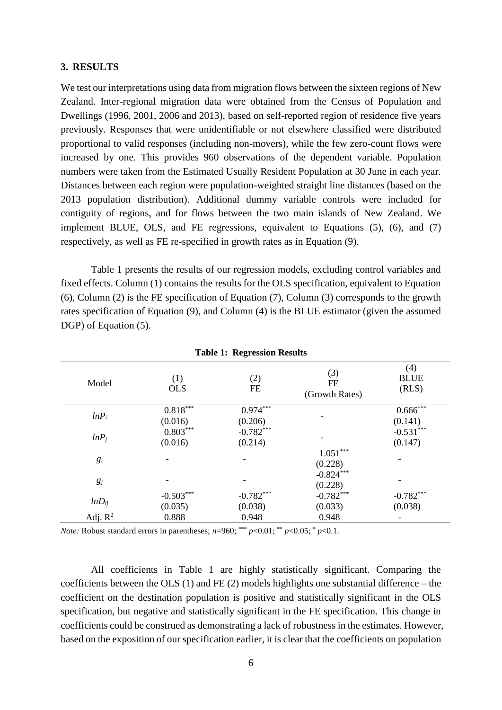#### **3. RESULTS**

We test our interpretations using data from migration flows between the sixteen regions of New Zealand. Inter-regional migration data were obtained from the Census of Population and Dwellings (1996, 2001, 2006 and 2013), based on self-reported region of residence five years previously. Responses that were unidentifiable or not elsewhere classified were distributed proportional to valid responses (including non-movers), while the few zero-count flows were increased by one. This provides 960 observations of the dependent variable. Population numbers were taken from the Estimated Usually Resident Population at 30 June in each year. Distances between each region were population-weighted straight line distances (based on the 2013 population distribution). Additional dummy variable controls were included for contiguity of regions, and for flows between the two main islands of New Zealand. We implement BLUE, OLS, and FE regressions, equivalent to Equations (5), (6), and (7) respectively, as well as FE re-specified in growth rates as in Equation (9).

Table 1 presents the results of our regression models, excluding control variables and fixed effects. Column (1) contains the results for the OLS specification, equivalent to Equation (6), Column (2) is the FE specification of Equation (7), Column (3) corresponds to the growth rates specification of Equation (9), and Column (4) is the BLUE estimator (given the assumed DGP) of Equation (5).

| Tuble 1. Regi ession Results |                        |                        |                             |                                   |
|------------------------------|------------------------|------------------------|-----------------------------|-----------------------------------|
| Model                        | (1)<br><b>OLS</b>      | (2)<br><b>FE</b>       | (3)<br>FE<br>(Growth Rates) | (4)<br><b>BLUE</b><br>(RLS)       |
| $lnP_i$                      | 0.818<br>(0.016)       | $0.974***$<br>(0.206)  |                             | $0.666$ <sup>***</sup><br>(0.141) |
| $lnP_i$                      | $0.803***$<br>(0.016)  | $-0.782***$<br>(0.214) |                             | $-0.531***$<br>(0.147)            |
| $g_i$                        |                        |                        | $1.051***$<br>(0.228)       |                                   |
| $g_j$                        |                        |                        | $-0.824***$<br>(0.228)      |                                   |
| $lnD_{ij}$                   | $-0.503***$<br>(0.035) | $-0.782***$<br>(0.038) | $-0.782***$<br>(0.033)      | $-0.782***$<br>(0.038)            |
| Adj. $R^2$                   | 0.888                  | 0.948                  | 0.948                       |                                   |

**Table 1: Regression Results**

*Note:* Robust standard errors in parentheses;  $n=960$ ; \*\*\*  $p<0.01$ ; \*\*  $p<0.05$ ;  $p<0.1$ .

All coefficients in Table 1 are highly statistically significant. Comparing the coefficients between the OLS (1) and FE (2) models highlights one substantial difference – the coefficient on the destination population is positive and statistically significant in the OLS specification, but negative and statistically significant in the FE specification. This change in coefficients could be construed as demonstrating a lack of robustness in the estimates. However, based on the exposition of our specification earlier, it is clear that the coefficients on population